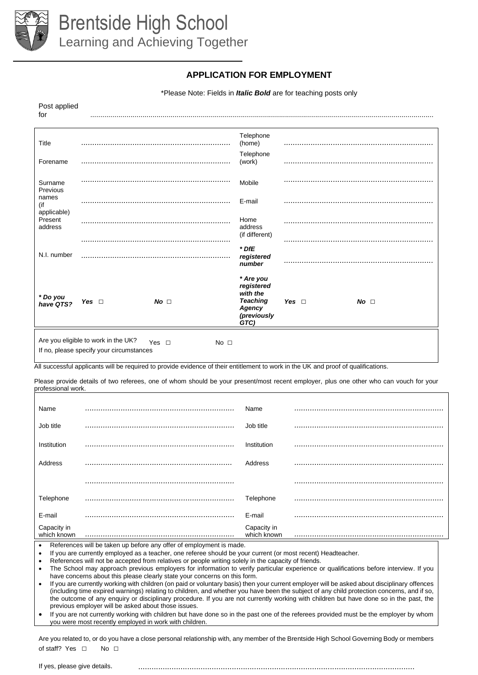

## **APPLICATION FOR EMPLOYMENT**

\*Please Note: Fields in *Italic Bold* are for teaching posts only

| Post applied<br>for               |                                                                                 |                                                                                                                                    |              |                                                                                                |            |             |
|-----------------------------------|---------------------------------------------------------------------------------|------------------------------------------------------------------------------------------------------------------------------------|--------------|------------------------------------------------------------------------------------------------|------------|-------------|
| Title                             |                                                                                 |                                                                                                                                    |              | Telephone<br>(home)                                                                            |            |             |
| Forename                          |                                                                                 |                                                                                                                                    |              | Telephone<br>(work)                                                                            |            |             |
| Surname<br>Previous               |                                                                                 |                                                                                                                                    |              | Mobile                                                                                         |            |             |
| names<br>(if                      |                                                                                 |                                                                                                                                    |              | E-mail                                                                                         |            |             |
| applicable)<br>Present<br>address |                                                                                 |                                                                                                                                    |              | Home<br>address                                                                                |            |             |
|                                   |                                                                                 |                                                                                                                                    |              | (if different)                                                                                 |            |             |
| N.I. number                       |                                                                                 |                                                                                                                                    |              | $*$ DfE<br>registered<br>number                                                                |            |             |
| * Do you<br>have QTS?             | Yes $\Box$                                                                      | No <sub>1</sub>                                                                                                                    |              | * Are you<br>registered<br>with the<br><b>Teaching</b><br><b>Agency</b><br>(previously<br>GTC) | Yes $\Box$ | $No$ $\Box$ |
|                                   | Are you eligible to work in the UK?<br>If no, please specify your circumstances | Yes $\Box$                                                                                                                         | No $\square$ |                                                                                                |            |             |
|                                   |                                                                                 | All successful applicants will be required to provide evidence of their entitlement to work in the UK and proof of qualifications. |              |                                                                                                |            |             |

Please provide details of two referees, one of whom should be your present/most recent employer, plus one other who can vouch for your professional work.

| Name                       | Name                       |  |
|----------------------------|----------------------------|--|
| Job title                  | Job title                  |  |
| Institution                | Institution                |  |
| Address                    | Address                    |  |
|                            |                            |  |
| Telephone                  | Telephone                  |  |
| E-mail                     | E-mail                     |  |
| Capacity in<br>which known | Capacity in<br>which known |  |

which known

References will be taken up before any offer of employment is made.

• If you are currently employed as a teacher, one referee should be your current (or most recent) Headteacher.

• References will not be accepted from relatives or people writing solely in the capacity of friends.

• The School may approach previous employers for information to verify particular experience or qualifications before interview. If you have concerns about this please clearly state your concerns on this form.

• If you are currently working with children (on paid or voluntary basis) then your current employer will be asked about disciplinary offences (including time expired warnings) relating to children, and whether you have been the subject of any child protection concerns, and if so, the outcome of any enquiry or disciplinary procedure. If you are not currently working with children but have done so in the past, the previous employer will be asked about those issues.

If you are not currently working with children but have done so in the past one of the referees provided must be the employer by whom you were most recently employed in work with children.

Are you related to, or do you have a close personal relationship with, any member of the Brentside High School Governing Body or members of staff? Yes  $\Box$  No  $\Box$ 

If yes, please give details. ............................................................................................................................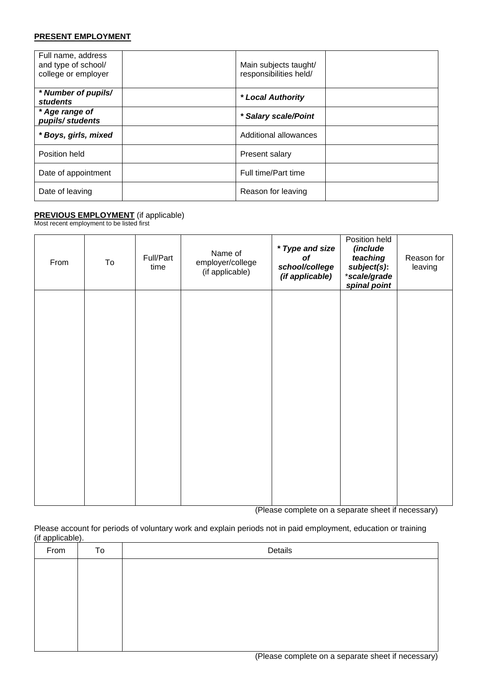### **PRESENT EMPLOYMENT**

| Full name, address<br>and type of school/<br>college or employer | Main subjects taught/<br>responsibilities held/ |  |
|------------------------------------------------------------------|-------------------------------------------------|--|
| * Number of pupils/<br><b>students</b>                           | * Local Authority                               |  |
| * Age range of<br>pupils/students                                | * Salary scale/Point                            |  |
| * Boys, girls, mixed                                             | Additional allowances                           |  |
| Position held                                                    | Present salary                                  |  |
| Date of appointment                                              | Full time/Part time                             |  |
| Date of leaving                                                  | Reason for leaving                              |  |

## **PREVIOUS EMPLOYMENT** (if applicable)

Most recent employment to be listed first

| From | To | Full/Part<br>time | Name of<br>employer/college<br>(if applicable) | * Type and size<br>of<br>school/college<br>(if applicable) | Position held<br>(include<br>teaching<br>subject(s):<br>*scale/grade<br>spinal point | Reason for<br>leaving |
|------|----|-------------------|------------------------------------------------|------------------------------------------------------------|--------------------------------------------------------------------------------------|-----------------------|
|      |    |                   |                                                |                                                            |                                                                                      |                       |
|      |    |                   |                                                |                                                            |                                                                                      |                       |
|      |    |                   |                                                |                                                            |                                                                                      |                       |
|      |    |                   |                                                |                                                            |                                                                                      |                       |

(Please complete on a separate sheet if necessary)

Please account for periods of voluntary work and explain periods not in paid employment, education or training (if applicable).

| From | To | Details |
|------|----|---------|
|      |    |         |
|      |    |         |
|      |    |         |
|      |    |         |
|      |    |         |
|      |    |         |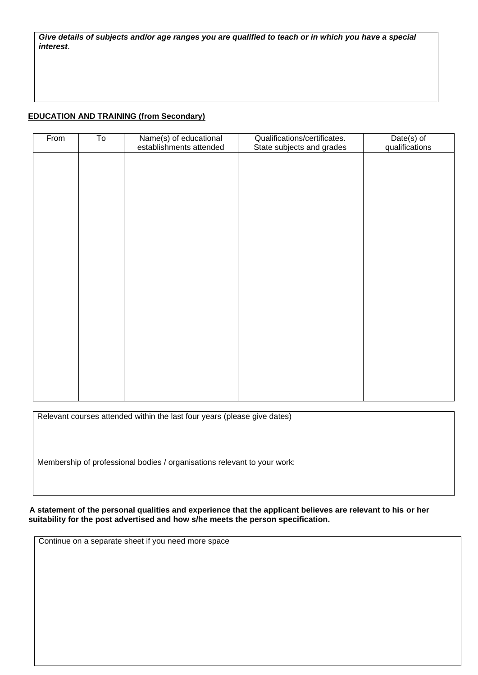*Give details of subjects and/or age ranges you are qualified to teach or in which you have a special interest*.

## **EDUCATION AND TRAINING (from Secondary)**

| From | To | Name(s) of educational<br>establishments attended | Qualifications/certificates.<br>State subjects and grades | Date(s) of<br>qualifications |
|------|----|---------------------------------------------------|-----------------------------------------------------------|------------------------------|
|      |    |                                                   |                                                           |                              |
|      |    |                                                   |                                                           |                              |
|      |    |                                                   |                                                           |                              |
|      |    |                                                   |                                                           |                              |
|      |    |                                                   |                                                           |                              |
|      |    |                                                   |                                                           |                              |
|      |    |                                                   |                                                           |                              |
|      |    |                                                   |                                                           |                              |
|      |    |                                                   |                                                           |                              |
|      |    |                                                   |                                                           |                              |
|      |    |                                                   |                                                           |                              |
|      |    |                                                   |                                                           |                              |

Relevant courses attended within the last four years (please give dates)

Membership of professional bodies / organisations relevant to your work:

 **A statement of the personal qualities and experience that the applicant believes are relevant to his or her suitability for the post advertised and how s/he meets the person specification.**

Continue on a separate sheet if you need more space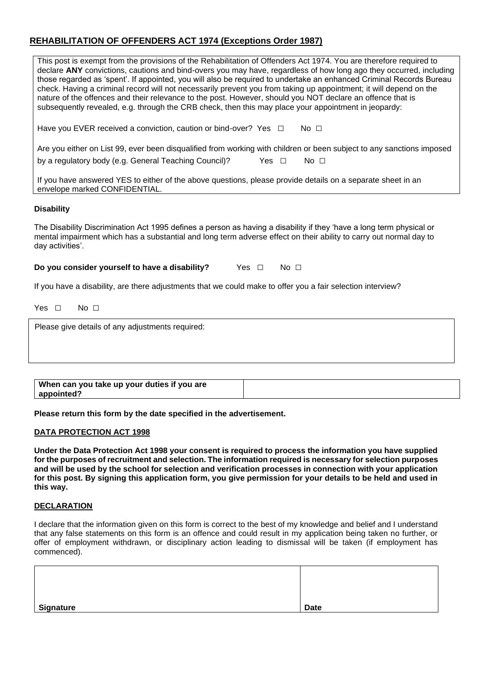# **REHABILITATION OF OFFENDERS ACT 1974 (Exceptions Order 1987)**

| This post is exempt from the provisions of the Rehabilitation of Offenders Act 1974. You are therefore required to<br>declare ANY convictions, cautions and bind-overs you may have, regardless of how long ago they occurred, including<br>those regarded as 'spent'. If appointed, you will also be required to undertake an enhanced Criminal Records Bureau<br>check. Having a criminal record will not necessarily prevent you from taking up appointment; it will depend on the<br>nature of the offences and their relevance to the post. However, should you NOT declare an offence that is<br>subsequently revealed, e.g. through the CRB check, then this may place your appointment in jeopardy: |
|-------------------------------------------------------------------------------------------------------------------------------------------------------------------------------------------------------------------------------------------------------------------------------------------------------------------------------------------------------------------------------------------------------------------------------------------------------------------------------------------------------------------------------------------------------------------------------------------------------------------------------------------------------------------------------------------------------------|
| Have you EVER received a conviction, caution or bind-over? Yes $\Box$<br>No $\Box$                                                                                                                                                                                                                                                                                                                                                                                                                                                                                                                                                                                                                          |
| Are you either on List 99, ever been disqualified from working with children or been subject to any sanctions imposed                                                                                                                                                                                                                                                                                                                                                                                                                                                                                                                                                                                       |
| by a regulatory body (e.g. General Teaching Council)?<br>Yes $\Box$<br>No $\square$                                                                                                                                                                                                                                                                                                                                                                                                                                                                                                                                                                                                                         |
| If you have answered YES to either of the above questions, please provide details on a separate sheet in an<br>envelope marked CONFIDENTIAL.                                                                                                                                                                                                                                                                                                                                                                                                                                                                                                                                                                |
| <b>Disability</b>                                                                                                                                                                                                                                                                                                                                                                                                                                                                                                                                                                                                                                                                                           |
| The Disability Discrimination Act 1995 defines a person as having a disability if they 'have a long term physical or<br>mental impairment which has a substantial and long term adverse effect on their ability to carry out normal day to<br>day activities'.                                                                                                                                                                                                                                                                                                                                                                                                                                              |

**Do you consider yourself to have a disability?** Yes □ No □

If you have a disability, are there adjustments that we could make to offer you a fair selection interview?

Yes □ No □

Please give details of any adjustments required:

| When can you take up your duties if you are |  |
|---------------------------------------------|--|
| appointed?                                  |  |

**Please return this form by the date specified in the advertisement.**

#### **DATA PROTECTION ACT 1998**

**Under the Data Protection Act 1998 your consent is required to process the information you have supplied for the purposes of recruitment and selection. The information required is necessary for selection purposes and will be used by the school for selection and verification processes in connection with your application for this post. By signing this application form, you give permission for your details to be held and used in this way.** 

#### **DECLARATION**

I declare that the information given on this form is correct to the best of my knowledge and belief and I understand that any false statements on this form is an offence and could result in my application being taken no further, or offer of employment withdrawn, or disciplinary action leading to dismissal will be taken (if employment has commenced).

| <b>Signature</b> | <b>Date</b> |
|------------------|-------------|